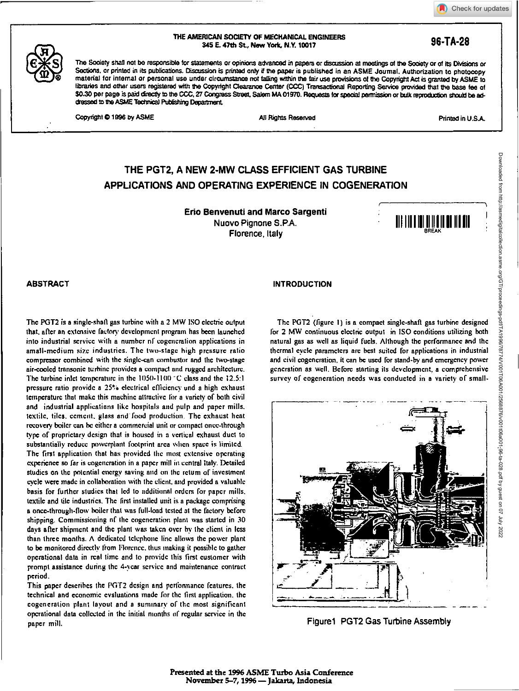

**THE AMERICAN SOCIETY OF MECHANICAL ENGINEERS 34\$ E. 47th St, New York, N.Y. 10017 96-TA-28** 

The Society shall not be responsible for statements or opinions advanced in papers or discussion at meetings of the Society or of its Divisions or Sections, or printed in its publications. Discussion is printed only if the paper is published in an ASME Journal. Authorization to photocopy material for internal or personal use under circumstance not falling within the fair use provisions of the Copyright Act is granted by ASME to libraries and other users registered with the Copyright Clearanoe Center (CCC) Transactional Reporting Service provided that the base fee of \$0.30 per page is paid directly to the CCC, 27 Congress Street, Salem MA 01970. Requests for special permission or bulk reproduction should be addressed to the ASME Technical Publishing Department.

Copyright  $\bigcirc$  1996 by ASME All Rights Reserved All Rights Reserved Printed in U.S.A.

# **THE PGT2, A NEW 2-MW CLASS EFFICIENT GAS TURBINE APPLICATIONS AND OPERATING EXPERIENCE IN COGENERATION**

Erio Benvenuti and Marco Sargenti Nuovo Pignone S.P.A. Florence, Italy



The PGT2 is a single-shaft gas turbine with a 2 MW ISO electric output that, after an extensive factory development program has been launched into industrial service with a number of cogeneration applications in small-medium size industries. The two-stage high pressure ratio compressor combined with the single-can combustor and the two-stage air-cooled transonic turbine provides a compact and rugged architecture. The turbine inlet temperature in the 1050-1100 °C class and the 12.5:1 pressure ratio provide a 25% electrical efficiency and a high exhaust temperature that make this machine attractive Ibr a variety of both civil and industrial applications like hospitals and pulp and paper mills. textile, tiles, cement, glass and' food production. The exhaust heat recovery boiler can be either a commercial unit or compact once-through type of proprietary design that is housed in a vertical exhaust duct to substantially reduce powcrplant footprint area when space is limited. The first application that has provided the most extensive operating experience so far is cogeneration in a paper mill in central Italy. Detailed studies on the potential energy saving and on the return of investment cycle were made in collaboration with the client, and provided a valuable basis for further studies that led to additional orders for paper mills. textile and tile industries. The first installed unit is a package comprising a once-through-flow boiler that was full-load tested at the factory before shipping. Commissioning of the cogeneration plant was started in 30 days after shipment and the plant was taken over by the client in less than three months. A dedicated telephone line allows the power plant to be monitored directly from Florence. thus making it possible to gather operational data in real time and to provide this first customer with prompt assistance during the 4-year service and maintenance contract period.

This paper describes the PGT2 design and performance features, the technical and economic evaluations made for the first application, the cogeneration plant layout and a summary of the most significant operational data collected in the initial months or regular service in the paper mill.

# ABSTRACT **INTRODUCTION**

The P012 (figure I) is a compact single -shaft gas turbine designed for 2 MW continuous electric output in ISO conditions utilizing both natural gas as well as liquid fuels. Although the performance and the thermal cycle parameters are best suited for applications in industrial and civil cogeneration. it can be used for stand-by and emergency power generation as well. Before starting its development, a comprehensive survey of cogeneration needs was conducted in a variety of small-



Figuret PGT2 Gas Turbine Assembly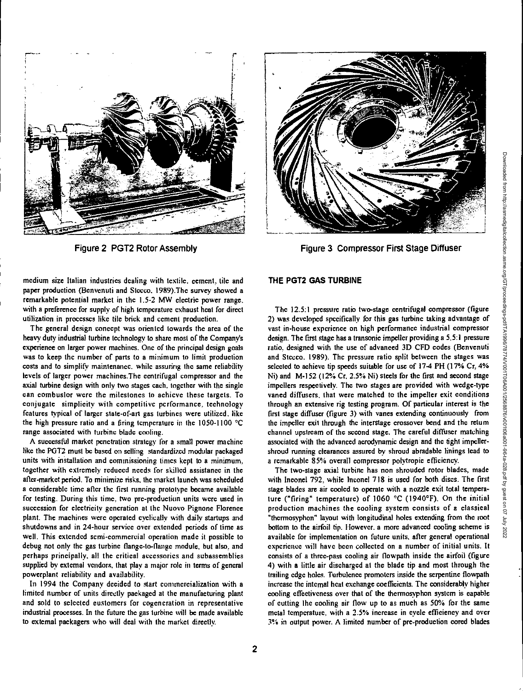

medium size Italian industries dealing with textile, cement, tile and paper production (Benvenuti and Stceco. 1989).The survey showed a remarkable potential market in the 1.5-2 MW electric power range, with a preference for supply of high temperature exhaust heat for direct utilization in processes like tile brick and cement production.

The general design concept was oriented towards the area of the heavy duty industrial turbine technology to share most of the Company's experience on larger power machines. One of the principal design goals was to keep the number of parts to a minimum to limit production costs and to simplify maintenance, while assuring the same reliability levels of larger power machines.The centrifugal compressor and the axial turbine design with only two stages each, together with the single can combustor were the milestones to achieve these targets. To conjugate simplicity with competitive performance, technology features typical of larger state-of-aft gas turbines were utilized, like the high pressure ratio and a firing temperature in the 1050-1100 °C range associated with turbine blade cooling.

A successful market penetration strategy for a small power machine like the PGT2 must be based on selling standardized modular packaged units with installation and commissioning times kept to a minimum, together with extremely reduced needs for skilled assistance in the after-market period. To minimize risks, the market launch was scheduled a considerable time after the first running prototype became available for testing. During this time, two pre-production units were used in succession for electricity generation at the Nuovo Pignone Florence plant. The machines were operated cyclically with daily startups and shutdowns and in 24-hour service over extended periods of time as well. This extended semi-commercial operation made it possible to debug not only the gas turbine flange-to-flange module, but also, and perhaps principally, all the critical accessories and subassemblies supplied by external vendors, that play a major role in terms of general powerplant reliability and availability.

In 1994 the Company decided to start commercialization with a limited number of units directly packaged at the manufacturing plant and sold to selected customers for cogeneration in representative industrial processes. In the future the gas turbine will be made available to external packagers who will deal with the market directly.

# **THE PGT2 GAS TURBINE**

The 12.5:1 pressure ratio two-stage centrifugal compressor (figure 2) was developed specifically for this gas turbine taking advantage of vast in-house experience on high performance industrial compressor design. The first stage has a transonic impeller providing a 5.5:1 pressure ratio, designed with the use of advanced 3D CFD codes (Benvenuti and Stecco, 1989). The pressure ratio split between the stages was selected to achieve tip speeds suitable for use of 17-4 PH (17% Cr, 4% Ni) and M-152 (12% Cr. 2.5% Ni) steels for the first and second stage impellers respectively. The two stages are provided with wedge-type vaned diffusers, that were matched to the impeller exit conditions through an extensive rig testing program. Of particular interest is the first stage diffuser (figure 3) with vanes extending continuously from the impeller exit through the interstage crossover bend and the return channel upstream of the second stage. The careful diffuser matching associated with the advanced aerodynamic design and the tight impellershroud running clearances assured by shroud abradablc linings lead to a remarkable 85% overall compressor polytropic efficiency.

The two-stage axial turbine has non shrouded rotor blades, made with Inconel 792. while Inconel 718 is used for both discs. The first stage blades are air cooled to operate with a nozzle exit total temperature ("firing" temperature) of 1060 °C (1940°F). On the initial production machines the cooling system consists of a classical "thermosyphon" layout with longitudinal holes extending from the root bottom to the airfoil tip. However, a more advanced cooling scheme is available for implementation on future units, after general operational experience will have been collected on a number of initial units. It consists of a three-pass cooling air flowpath inside the airfoil (figure 4) with a little air discharged at the blade tip and most through the trailing edge holes. Turbulence promoters inside the serpentine flowpath increase the internal heat exchange coefficients. The considerably higher cooling effectiveness over that of the thermosyphon system is capable of cutting the cooling air flow up to as much as 50% for the same metal temperature. with a 2.5% increase in cycle efficiency and over 3% in output power. A limited number of pre-production cored blades



Figure 2 PGT2 Rotor Assembly Figure 3 Compressor First Stage Diffuser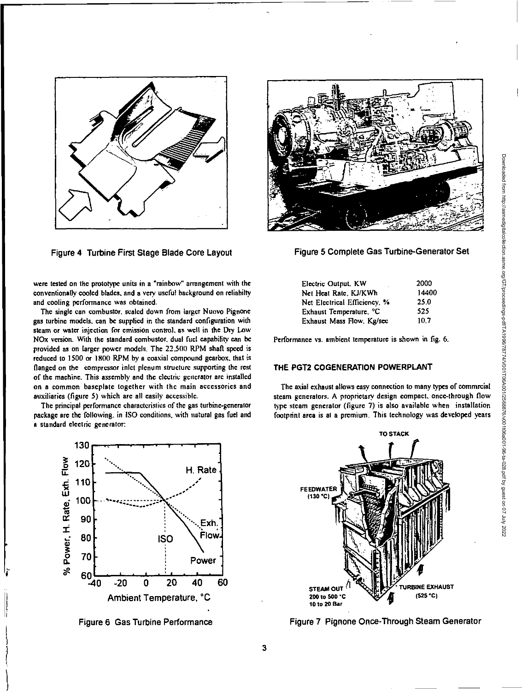

Figure 4 Turbine First Stage Blade Core Layout

were tested on the prototype units in a "rainbow" arrangement with the conventionally cooled blades, and a very useful background on reliabilty and cooling performance was obtained.

The single can combustor. scaled down from larger Nuovo Pignonc gas turbine models, can be supplied in the standard configuration with steam **Or** water injection for emission control, as well in the Dry Low NOx version. With the standard combustor. dual fuel capability can be provided as on larger power models. The 22.500 RPM shaft speed is reduced to 1500 or 1800 RPM by a coaxial compound gearbox, that is flanged on the compressor inlet plenum structure supporting the rest of the machine. This assembly and the electric generator are installed on a common baseplate together with the main accessories and auxiliaries (figure 5) which are all easily accessible.

The principal performance characteristics of the gas turbine-generator package are the following. in ISO conditions, with natural gas fuel and a standard electric generator:





Figure 5 Complete Gas Turbine-Generator Set

| Electric Output, KW                 | 2000  |
|-------------------------------------|-------|
| Net Heat Rate, KJ/KWh               | 14400 |
| Net Electrical Efficiency, %        | 25.0  |
| Exhaust Temperature, <sup>o</sup> C | 525   |
| Exhaust Mass Flow, Kg/sec           | 10.7  |

Performance vs. ambient temperature is shown in fig. 6.

# **THE PGT2 COGENERATION POWERPLANT**

The axial exhaust allows easy connection to many types of commrcial steam generators. A proprietary design compact. once-through flow type steam generator (figure 7) is also available when installation footprint area is at a premium. This technology was developed years



Figure 6 Gas Turbine Performance Figure 7 Pignone Once-Through Steam Generator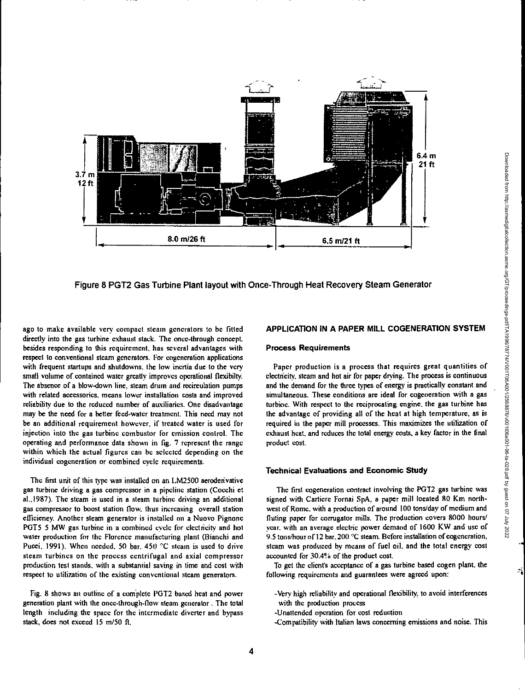

Figure 8 P012 Gas Turbine Plant layout with Once -Through Heat Recovery Steam Generator

ago to make available very compact steam generators to be fitted directly into the gas turbine exhaust stack. The once-through concept. besides responding to this requirement. has several advantages with respect to conventional steam generators. For cogeneration applications with frequent startups and shutdowns, the low inertia due to the very small volume of contained water greatly improves operational flexibilty. The absence of a blow-down line, steam drum and recirculation pumps with related accessories, means lower installation costs and improved reliability due to the reduced number of auxiliaries. One disadvantage may be the need for a better feed-water treatment. This need may not be an additional requirement however, if treated water is used for injection into the gas turbine combustor for emission control. The operating and performance data shown in fig. 7 represent the range within which the actual figures can be selected depending on the individual cogeneration or combined cycle requirements.

The first unit of this type was installed on an 1,M2500 aeroderivative gas turbine driving a gas compressor in a pipeline station (Cocchi et al.,1987). The steam is used in a steam turbine driving an additional gas compressor to boost station flow, thus increasing overall station efficiency. Another steam generator is installed on a Nuovo Pignonc POTS 5 MW gas turbine in a combined cycle for electricity and hot water production for the Florence manufacturing plant (Bianchi and Pucci, 1991). When needed, 50 bar. 450 "C steam is used to drive steam turbines on the process centrifugal and axial compressor production test stands, with a substantial saving in time and cost with respect to utilization of the existing conventional steam generators.

Fig. 8 shows an outline of a complete PGT2 based heat and power generation plant with the once-through-flow steam generator . The total length including the space for the intermediate diverter and bypass stack, does not exceed 15 m/50 ft.

# APPLICATION IN A PAPER MILL COGENERATION SYSTEM

#### **Process Requirements**

Paper production is a process that requires great quantities of electricity, steam and hot air for paper drying. The process is continuous and the demand for the three types of energy is practically constant and simultaneous. These conditions are ideal for cogeneration with a gas turbine. With respect to the reciprocating engine, the gas turbine has the advantage of providing all of the heat at high temperature, as is required in the paper mill processes. This maximizes the utilization of exhaust heat, and reduces the total energy costs, a key factor in the final product cost.

#### **Technical Evaluations and Economic Study**

The first cogeneration contract involving the PGT2 gas turbine was signed with Cartiere Fornai SpA, a paper mill located 80 Km northwest of Rome, with a production of around 100 tons/day of medium and fluting paper for corrugator mills. The production covers 8000 hours/ year. with an average electric power demand of 1600 KW and use of 9.5 tons/hour of 12 bar. 200 °C steam. Before installation of cogeneration, steam was produced by means of fuel oil, and the total energy cost accounted for 30.4% of the product cost.

To get the client's acceptance of a gas turbine based cogen plant. the following requirements and guarantees were agreed upon:

- -Very high reliability and operational flexibility, to avoid interferences with the production process
- -Unattended operation for cost reduction
- Compatibility with Italian laws concerning emissions and noise. This

Ą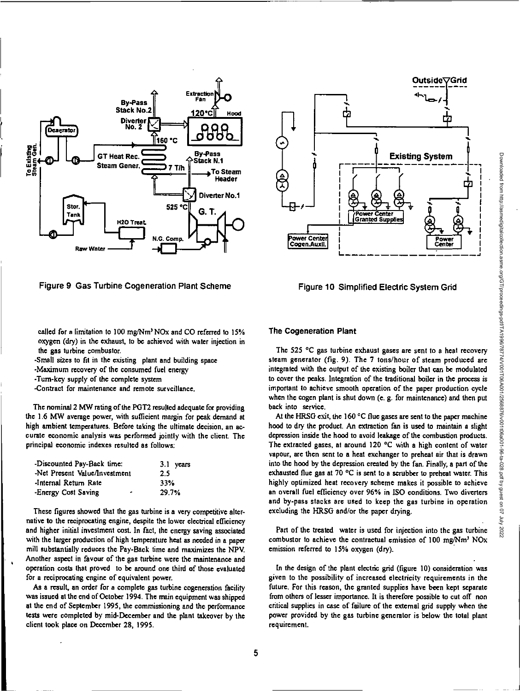



**called for a limitation to 100 mg/Nm <sup>3</sup> NOx and CO referred to 15% oxygen (dry) in the exhaust, to be achieved with water injection in the gas turbine combustor.** 

**-Small sizes to fit in the existing plant and building space** 

**-Maximum recovery of the consumed fuel energy** 

**-Turn-key supply of the complete system** 

**-Contract for maintenance and remote surveillance.** 

**The nominal 2 MW rating of the P012 resulted adequate for providing the 1.6 MW average power, with sufficient margin for peak demand at high ambient temperatures. Before taking the ultimate decision, an accurate economic analysis was performed jointly with the client. The principal economic indexes resulted as follows:** 

| Discounted Pay-Back time:     | $3.1$ years |
|-------------------------------|-------------|
| Net Present Value/Investment- | 2.5         |
| Internal Return Rate          | 33%         |
| Energy Cost Saving<br>٠       | 29.7%       |

**These figures showed that the gas turbine is a very competitive alternative to the reciprocating engine, despite the lower electrical efficiency and higher initial investment cost. In fact, the energy saving associated with the larger production of high temperature heat as needed in a paper mill substantially reduces the Pay-Back time and maximizes the NPV. Another aspect in favour of the gas turbine were the maintenance and operation costs that proved to be around one third of those evaluated for a reciprocating engine of equivalent power.** 

**As a result, an order for a complete gas turbine cogeneration facility was issued at the end of October 1994. The main equipment was shipped at the end of September 1995, the commissioning and the performance tests were completed by mid-December and the plant takeover by the client took place on December 28, 1995.** 



#### **The Cogeneration Plant**

**The 525 °C gas turbine exhaust gases are sent to a heat recovery steam generator (fig. 9). The 7 tons/hour of steam produced are integrated with the output of the existing boiler that can be modulated to cover the peaks. Integration of the traditional boiler in the process is important to achieve smooth operation of the paper production cycle when the cogen plant is shut down (e. g. for maintenance) and then put back into service.** 

At the HRSG exit, the 160 °C flue gases are sent to the paper machine **hood to** *dry* **the product. An extraction fan is used to maintain a slight depression inside the hood to avoid leakage of the combustion products. The extracted gases, at around 120 °C with a high content of water vapour, are then sent to a heat exchanger to preheat air that is drawn into the hood by the depression created by the fan. Finally, a part of the exhausted flue gas at 70 °C is sent to a scrubber to preheat water. This highly optimized heat recovery scheme makes it possible to achieve an overall fuel efficiency over 96% in ISO conditions. Two diverters and by-pass stacks are used to keep the gas turbine in operation excluding the HRSG and/or the paper drying.** 

**Part of the treated water is used for injection into the gas turbine**  combustor to achieve the contractual emission of 100 mg/Nm<sup>3</sup> NO<sub>x</sub> **emission referred to 15% oxygen (dry).** 

**In the design of the plant electric grid (figure 10) consideration was given to the possibility of increased electricity requirements in the future. For this reason, the granted supplies have been kept separate from others of lesser importance. It is therefore possible to cut off non critical supplies in case of failure of the external grid supply when the power provided by the gas turbine generator is below the total plant requirement.**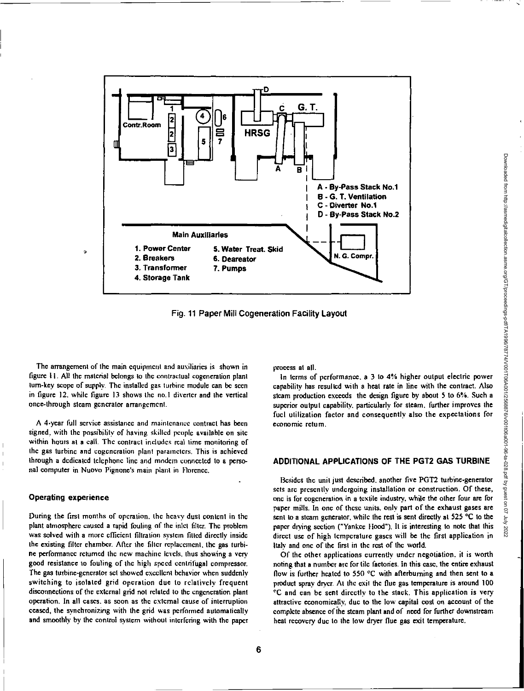

Fig. 11 Paper Mill Cogeneration Facility Layout

The arrangement of the main equipment and auxiliaries is shown in figure 11. All the material belongs to the contractual cogeneration plant turn-key scope of supply. The installed gas turbine module can be seen in figure 12, while figure 13 shows the no. I diverter and the vertical once-through steam generator arrangement.

A 4-year full service assistance and maintenance contract has been signed, with the passibility of having skilled people available on site within hours at a call. The contract includes real time monitoring of the gas turbine and cogeneration plant parameters. This is achieved through a dedicated telephone line and modem connected to a personal computer in Nuovo Pignone's main plant in Florence.

#### **Operating experience**

 $\overline{1}$ 

During the first months of operation. the heavy dust content in the plant atmosphere caused a rapid fouling of the inlet filter. The problem was solved with a more efficient filtration system fitted directly inside the existing filter chamber. After the filter replacement, the gas turbine performance returned the new machine levels, thus showing a very good resistance to fouling of the high speed centrifugal compressor. The gas turbine-generator set showed excellent behavior when suddenly switching to isolated grid operation due to relatively frequent disconnections of the external grid not related to the engeneration plant operation. In all cases, as soon as the external cause of interruption ceased, the synchronizing with the grid was performed automatically and smoothly by the control system without interfering with the paper process at all.

In terms of performance, a 3 to 4% higher output electric power capability has resulted with a heat rate in line with the contract. Also steam production exceeds the design figure by about 5 to 6%. Such a superior output capability, particularly for steam, further improves the fuel utilization factor and consequently also the expectations for economic return.

### **ADDITIONAL APPLICATIONS OF THE PGT2 GAS TURBINE**

Besides the unit just described, another five PGT2 turbine-generator sets are presently undergoing installation or construction. Of these, one is for cogeneration in a textile industry, while the other four are for paper mills. In one of these units, only part of the exhaust gases are sent to a steam generator, while the rest is sent directly at 525 °C to the paper drying section ("Yankee Hood"). It is interesting to note that this direct use of high temperature gases will be the first application in Italy and one of the first in the rest of the world.

Of the other applications currently under negotiation. it is worth noting that a number arc for tile factories. In this case, the entire exhaust flow is further heated to 550 °C with afterburning and then sent to a product spray dryer. At the exit the flue gas temperature is around 100 °C and can be sent directly to the stack. This application is very attractive economically, due to the low capital cost on account of the complete absence of the steam plant and of need for further downstream heat recovery due to the low dryer flue gas exit temperature.